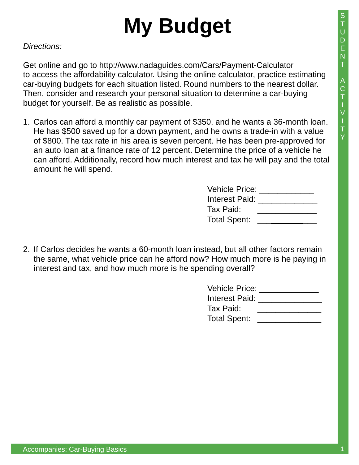## **My Budget**

*Directions:* 

Get online and go to http://www.nadaguides.com/Cars/Payment-Calculator to access the affordability calculator. Using the online calculator, practice estimating car-buying budgets for each situation listed. Round numbers to the nearest dollar. Then, consider and research your personal situation to determine a car-buying budget for yourself. Be as realistic as possible.

1. Carlos can afford a monthly car payment of \$350, and he wants a 36-month loan. He has \$500 saved up for a down payment, and he owns a trade-in with a value of \$800. The tax rate in his area is seven percent. He has been pre-approved for an auto loan at a finance rate of 12 percent. Determine the price of a vehicle he can afford. Additionally, record how much interest and tax he will pay and the total amount he will spend.

| <b>Vehicle Price:</b> |  |
|-----------------------|--|
| Interest Paid:        |  |
| Tax Paid:             |  |
| <b>Total Spent:</b>   |  |

2. If Carlos decides he wants a 60-month loan instead, but all other factors remain the same, what vehicle price can he afford now? How much more is he paying in interest and tax, and how much more is he spending overall?

| <b>Vehicle Price:</b> |  |
|-----------------------|--|
| <b>Interest Paid:</b> |  |
| Tax Paid:             |  |
| Total Spent:          |  |